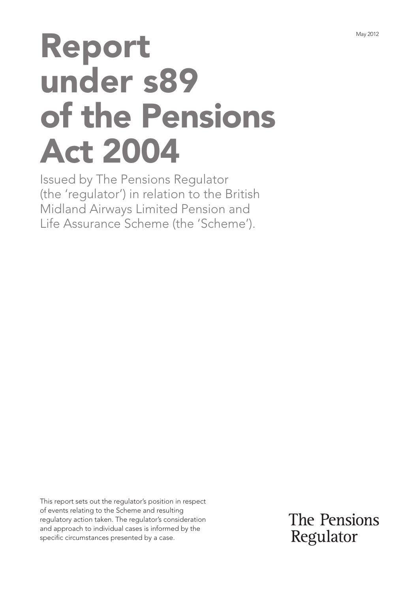# Report under s89 of the Pensions Act 2004

Issued by The Pensions Regulator (the 'regulator') in relation to the British Midland Airways Limited Pension and Life Assurance Scheme (the 'Scheme').

This report sets out the regulator's position in respect of events relating to the Scheme and resulting regulatory action taken. The regulator's consideration and approach to individual cases is informed by the specific circumstances presented by a case.

The Pensions Regulator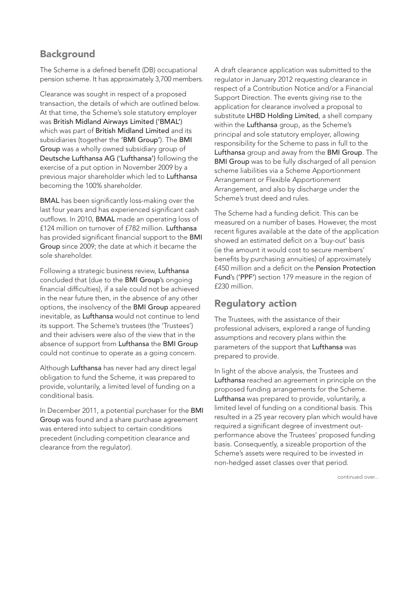# **Background**

The Scheme is a defined benefit (DB) occupational pension scheme. It has approximately 3,700 members.

Clearance was sought in respect of a proposed transaction, the details of which are outlined below. At that time, the Scheme's sole statutory employer was British Midland Airways Limited ('BMAL') which was part of **British Midland Limited** and its subsidiaries (together the 'BMI Group'). The BMI Group was a wholly owned subsidiary group of Deutsche Lufthansa AG ('Lufthansa') following the exercise of a put option in November 2009 by a previous major shareholder which led to Lufthansa becoming the 100% shareholder.

BMAL has been significantly loss-making over the last four years and has experienced significant cash outflows. In 2010, BMAL made an operating loss of £124 million on turnover of £782 million. Lufthansa has provided significant financial support to the BMI Group since 2009; the date at which it became the sole shareholder.

Following a strategic business review, Lufthansa concluded that (due to the BMI Group's ongoing financial difficulties), if a sale could not be achieved in the near future then, in the absence of any other options, the insolvency of the BMI Group appeared inevitable, as Lufthansa would not continue to lend its support. The Scheme's trustees (the 'Trustees') and their advisers were also of the view that in the absence of support from Lufthansa the BMI Group could not continue to operate as a going concern.

Although Lufthansa has never had any direct legal obligation to fund the Scheme, it was prepared to provide, voluntarily, a limited level of funding on a conditional basis.

In December 2011, a potential purchaser for the BMI Group was found and a share purchase agreement was entered into subject to certain conditions precedent (including competition clearance and clearance from the regulator).

A draft clearance application was submitted to the regulator in January 2012 requesting clearance in respect of a Contribution Notice and/or a Financial Support Direction. The events giving rise to the application for clearance involved a proposal to substitute LHBD Holding Limited, a shell company within the Lufthansa group, as the Scheme's principal and sole statutory employer, allowing responsibility for the Scheme to pass in full to the Lufthansa group and away from the BMI Group. The BMI Group was to be fully discharged of all pension scheme liabilities via a Scheme Apportionment Arrangement or Flexible Apportionment Arrangement, and also by discharge under the Scheme's trust deed and rules.

The Scheme had a funding deficit. This can be measured on a number of bases. However, the most recent figures available at the date of the application showed an estimated deficit on a 'buy-out' basis (ie the amount it would cost to secure members' benefits by purchasing annuities) of approximately £450 million and a deficit on the Pension Protection Fund's ('PPF') section 179 measure in the region of £230 million.

## Regulatory action

The Trustees, with the assistance of their professional advisers, explored a range of funding assumptions and recovery plans within the parameters of the support that Lufthansa was prepared to provide.

In light of the above analysis, the Trustees and Lufthansa reached an agreement in principle on the proposed funding arrangements for the Scheme. Lufthansa was prepared to provide, voluntarily, a limited level of funding on a conditional basis. This resulted in a 25 year recovery plan which would have required a significant degree of investment outperformance above the Trustees' proposed funding basis. Consequently, a sizeable proportion of the Scheme's assets were required to be invested in non-hedged asset classes over that period.

continued over...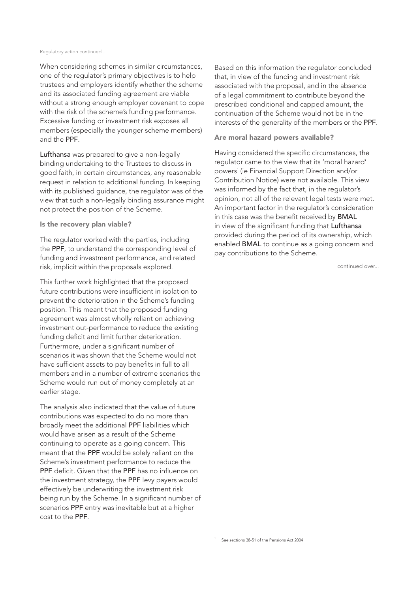#### Regulatory action continued...

When considering schemes in similar circumstances, one of the regulator's primary objectives is to help trustees and employers identify whether the scheme and its associated funding agreement are viable without a strong enough employer covenant to cope with the risk of the scheme's funding performance. Excessive funding or investment risk exposes all members (especially the younger scheme members) and the PPF.

Lufthansa was prepared to give a non-legally binding undertaking to the Trustees to discuss in good faith, in certain circumstances, any reasonable request in relation to additional funding. In keeping with its published guidance, the regulator was of the view that such a non-legally binding assurance might not protect the position of the Scheme.

### Is the recovery plan viable?

The regulator worked with the parties, including the PPF, to understand the corresponding level of funding and investment performance, and related risk, implicit within the proposals explored.

This further work highlighted that the proposed future contributions were insufficient in isolation to prevent the deterioration in the Scheme's funding position. This meant that the proposed funding agreement was almost wholly reliant on achieving investment out-performance to reduce the existing funding deficit and limit further deterioration. Furthermore, under a significant number of scenarios it was shown that the Scheme would not have sufficient assets to pay benefits in full to all members and in a number of extreme scenarios the Scheme would run out of money completely at an earlier stage.

The analysis also indicated that the value of future contributions was expected to do no more than broadly meet the additional PPF liabilities which would have arisen as a result of the Scheme continuing to operate as a going concern. This meant that the PPF would be solely reliant on the Scheme's investment performance to reduce the PPF deficit. Given that the PPF has no influence on the investment strategy, the PPF levy payers would effectively be underwriting the investment risk being run by the Scheme. In a significant number of scenarios PPF entry was inevitable but at a higher cost to the PPF.

Based on this information the regulator concluded that, in view of the funding and investment risk associated with the proposal, and in the absence of a legal commitment to contribute beyond the prescribed conditional and capped amount, the continuation of the Scheme would not be in the interests of the generality of the members or the PPF.

## Are moral hazard powers available?

Having considered the specific circumstances, the regulator came to the view that its 'moral hazard' powers<sup>1</sup> (ie Financial Support Direction and/or Contribution Notice) were not available. This view was informed by the fact that, in the regulator's opinion, not all of the relevant legal tests were met. An important factor in the regulator's consideration in this case was the benefit received by BMAL in view of the significant funding that Lufthansa provided during the period of its ownership, which enabled BMAL to continue as a going concern and pay contributions to the Scheme.

continued over...

1